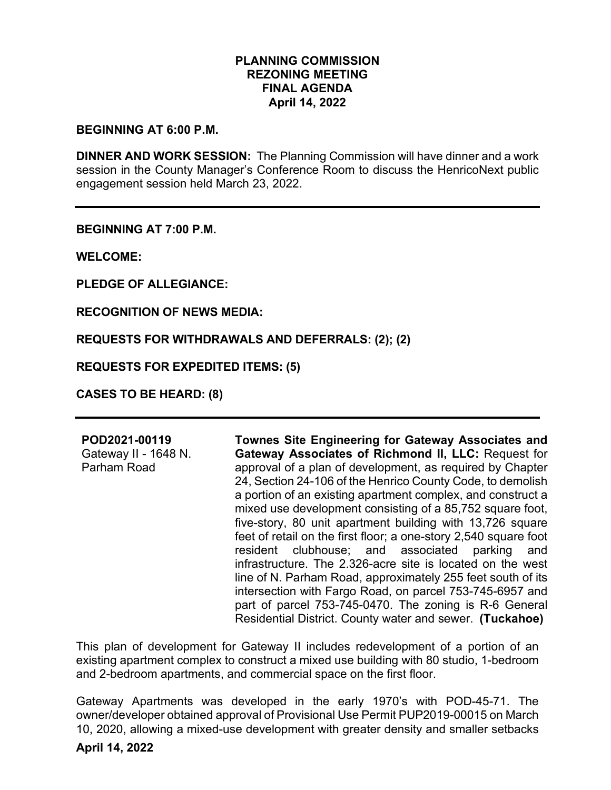## **PLANNING COMMISSION REZONING MEETING FINAL AGENDA April 14, 2022**

#### **BEGINNING AT 6:00 P.M.**

**DINNER AND WORK SESSION:** The Planning Commission will have dinner and a work session in the County Manager's Conference Room to discuss the HenricoNext public engagement session held March 23, 2022.

**BEGINNING AT 7:00 P.M.**

**WELCOME:**

**PLEDGE OF ALLEGIANCE:**

**RECOGNITION OF NEWS MEDIA:**

**REQUESTS FOR WITHDRAWALS AND DEFERRALS: (2); (2)**

**REQUESTS FOR EXPEDITED ITEMS: (5)**

**CASES TO BE HEARD: (8)** 

### **POD2021-00119**

Gateway II - 1648 N. Parham Road **Townes Site Engineering for Gateway Associates and Gateway Associates of Richmond II, LLC:** Request for approval of a plan of development, as required by Chapter 24, Section 24-106 of the Henrico County Code, to demolish a portion of an existing apartment complex, and construct a mixed use development consisting of a 85,752 square foot, five-story, 80 unit apartment building with 13,726 square feet of retail on the first floor; a one-story 2,540 square foot resident clubhouse; and associated parking and infrastructure. The 2.326-acre site is located on the west line of N. Parham Road, approximately 255 feet south of its intersection with Fargo Road, on parcel 753-745-6957 and part of parcel 753-745-0470. The zoning is R-6 General Residential District. County water and sewer. **(Tuckahoe)**

This plan of development for Gateway II includes redevelopment of a portion of an existing apartment complex to construct a mixed use building with 80 studio, 1-bedroom and 2-bedroom apartments, and commercial space on the first floor.

Gateway Apartments was developed in the early 1970's with POD-45-71. The owner/developer obtained approval of Provisional Use Permit PUP2019-00015 on March 10, 2020, allowing a mixed-use development with greater density and smaller setbacks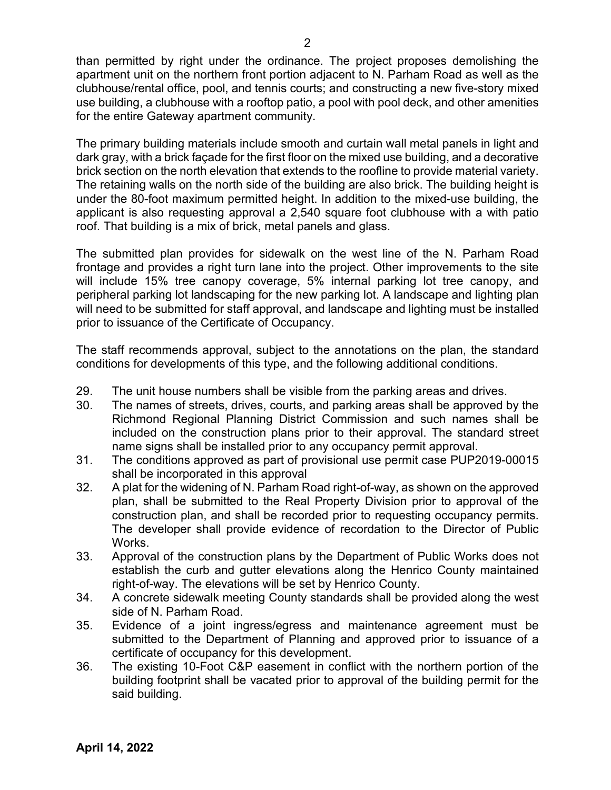than permitted by right under the ordinance. The project proposes demolishing the apartment unit on the northern front portion adjacent to N. Parham Road as well as the clubhouse/rental office, pool, and tennis courts; and constructing a new five-story mixed use building, a clubhouse with a rooftop patio, a pool with pool deck, and other amenities for the entire Gateway apartment community.

The primary building materials include smooth and curtain wall metal panels in light and dark gray, with a brick façade for the first floor on the mixed use building, and a decorative brick section on the north elevation that extends to the roofline to provide material variety. The retaining walls on the north side of the building are also brick. The building height is under the 80-foot maximum permitted height. In addition to the mixed-use building, the applicant is also requesting approval a 2,540 square foot clubhouse with a with patio roof. That building is a mix of brick, metal panels and glass.

The submitted plan provides for sidewalk on the west line of the N. Parham Road frontage and provides a right turn lane into the project. Other improvements to the site will include 15% tree canopy coverage, 5% internal parking lot tree canopy, and peripheral parking lot landscaping for the new parking lot. A landscape and lighting plan will need to be submitted for staff approval, and landscape and lighting must be installed prior to issuance of the Certificate of Occupancy.

The staff recommends approval, subject to the annotations on the plan, the standard conditions for developments of this type, and the following additional conditions.

- 29. The unit house numbers shall be visible from the parking areas and drives.
- 30. The names of streets, drives, courts, and parking areas shall be approved by the Richmond Regional Planning District Commission and such names shall be included on the construction plans prior to their approval. The standard street name signs shall be installed prior to any occupancy permit approval.
- 31. The conditions approved as part of provisional use permit case PUP2019-00015 shall be incorporated in this approval
- 32. A plat for the widening of N. Parham Road right-of-way, as shown on the approved plan, shall be submitted to the Real Property Division prior to approval of the construction plan, and shall be recorded prior to requesting occupancy permits. The developer shall provide evidence of recordation to the Director of Public Works.
- 33. Approval of the construction plans by the Department of Public Works does not establish the curb and gutter elevations along the Henrico County maintained right-of-way. The elevations will be set by Henrico County.
- 34. A concrete sidewalk meeting County standards shall be provided along the west side of N. Parham Road.
- 35. Evidence of a joint ingress/egress and maintenance agreement must be submitted to the Department of Planning and approved prior to issuance of a certificate of occupancy for this development.
- 36. The existing 10-Foot C&P easement in conflict with the northern portion of the building footprint shall be vacated prior to approval of the building permit for the said building.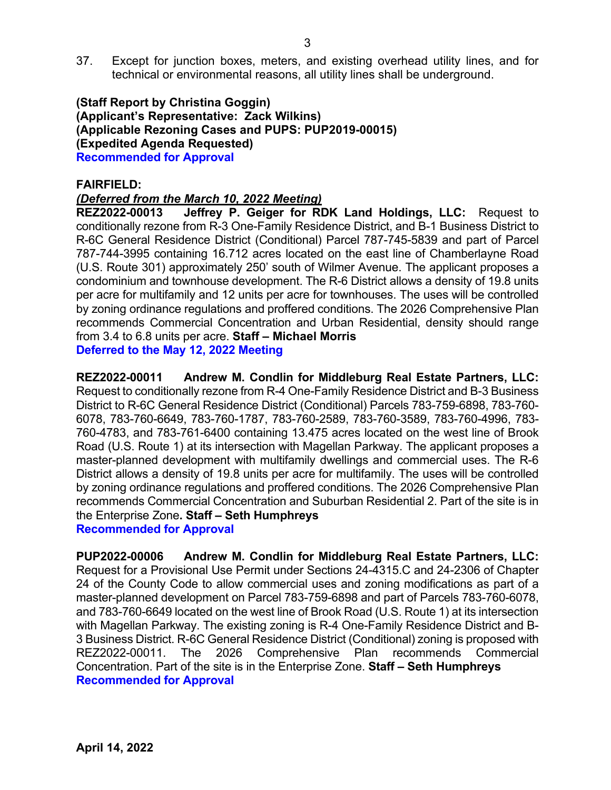37. Except for junction boxes, meters, and existing overhead utility lines, and for technical or environmental reasons, all utility lines shall be underground.

## **(Staff Report by Christina Goggin) (Applicant's Representative: Zack Wilkins) (Applicable Rezoning Cases and PUPS: PUP2019-00015) (Expedited Agenda Requested) Recommended for Approval**

**FAIRFIELD:**

## *(Deferred from the March 10, 2022 Meeting)*

**REZ2022-00013 Jeffrey P. Geiger for RDK Land Holdings, LLC:** Request to conditionally rezone from R-3 One-Family Residence District, and B-1 Business District to R-6C General Residence District (Conditional) Parcel 787-745-5839 and part of Parcel 787-744-3995 containing 16.712 acres located on the east line of Chamberlayne Road (U.S. Route 301) approximately 250' south of Wilmer Avenue. The applicant proposes a condominium and townhouse development. The R-6 District allows a density of 19.8 units per acre for multifamily and 12 units per acre for townhouses. The uses will be controlled by zoning ordinance regulations and proffered conditions. The 2026 Comprehensive Plan recommends Commercial Concentration and Urban Residential, density should range from 3.4 to 6.8 units per acre. **Staff – Michael Morris Deferred to the May 12, 2022 Meeting**

**REZ2022-00011 Andrew M. Condlin for Middleburg Real Estate Partners, LLC:** Request to conditionally rezone from R-4 One-Family Residence District and B-3 Business District to R-6C General Residence District (Conditional) Parcels 783-759-6898, 783-760- 6078, 783-760-6649, 783-760-1787, 783-760-2589, 783-760-3589, 783-760-4996, 783- 760-4783, and 783-761-6400 containing 13.475 acres located on the west line of Brook Road (U.S. Route 1) at its intersection with Magellan Parkway. The applicant proposes a master-planned development with multifamily dwellings and commercial uses. The R-6 District allows a density of 19.8 units per acre for multifamily. The uses will be controlled by zoning ordinance regulations and proffered conditions. The 2026 Comprehensive Plan recommends Commercial Concentration and Suburban Residential 2. Part of the site is in the Enterprise Zone**. Staff – Seth Humphreys Recommended for Approval**

**PUP2022-00006 Andrew M. Condlin for Middleburg Real Estate Partners, LLC:**  Request for a Provisional Use Permit under Sections 24-4315.C and 24-2306 of Chapter 24 of the County Code to allow commercial uses and zoning modifications as part of a master-planned development on Parcel 783-759-6898 and part of Parcels 783-760-6078, and 783-760-6649 located on the west line of Brook Road (U.S. Route 1) at its intersection with Magellan Parkway. The existing zoning is R-4 One-Family Residence District and B-3 Business District. R-6C General Residence District (Conditional) zoning is proposed with REZ2022-00011. The 2026 Comprehensive Plan recommends Commercial Concentration. Part of the site is in the Enterprise Zone. **Staff – Seth Humphreys Recommended for Approval**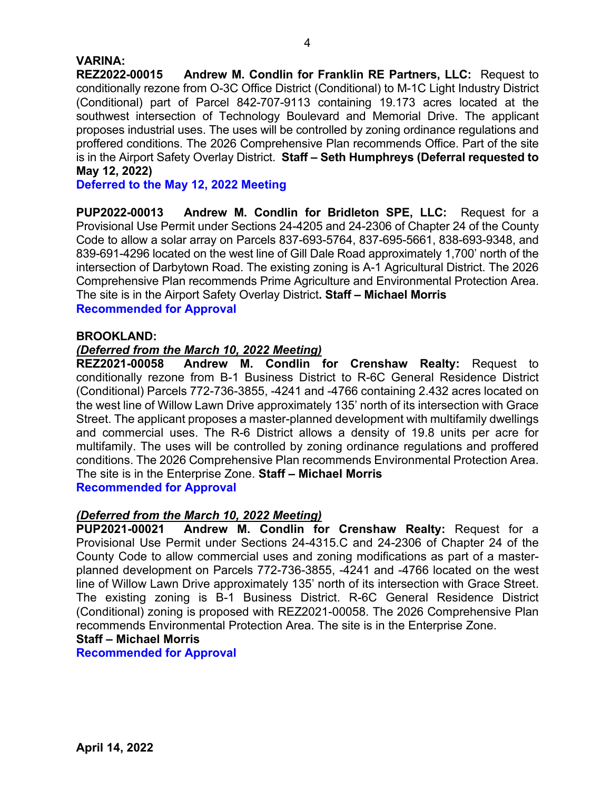## **VARINA:**

**REZ2022-00015 Andrew M. Condlin for Franklin RE Partners, LLC:** Request to conditionally rezone from O-3C Office District (Conditional) to M-1C Light Industry District (Conditional) part of Parcel 842-707-9113 containing 19.173 acres located at the southwest intersection of Technology Boulevard and Memorial Drive. The applicant proposes industrial uses. The uses will be controlled by zoning ordinance regulations and proffered conditions. The 2026 Comprehensive Plan recommends Office. Part of the site is in the Airport Safety Overlay District. **Staff – Seth Humphreys (Deferral requested to May 12, 2022)**

**Deferred to the May 12, 2022 Meeting**

**PUP2022-00013 Andrew M. Condlin for Bridleton SPE, LLC:** Request for a Provisional Use Permit under Sections 24-4205 and 24-2306 of Chapter 24 of the County Code to allow a solar array on Parcels 837-693-5764, 837-695-5661, 838-693-9348, and 839-691-4296 located on the west line of Gill Dale Road approximately 1,700' north of the intersection of Darbytown Road. The existing zoning is A-1 Agricultural District. The 2026 Comprehensive Plan recommends Prime Agriculture and Environmental Protection Area. The site is in the Airport Safety Overlay District**. Staff – Michael Morris Recommended for Approval**

### **BROOKLAND:**

## *(Deferred from the March 10, 2022 Meeting)*

**REZ2021-00058 Andrew M. Condlin for Crenshaw Realty:** Request to conditionally rezone from B-1 Business District to R-6C General Residence District (Conditional) Parcels 772-736-3855, -4241 and -4766 containing 2.432 acres located on the west line of Willow Lawn Drive approximately 135' north of its intersection with Grace Street. The applicant proposes a master-planned development with multifamily dwellings and commercial uses. The R-6 District allows a density of 19.8 units per acre for multifamily. The uses will be controlled by zoning ordinance regulations and proffered conditions. The 2026 Comprehensive Plan recommends Environmental Protection Area. The site is in the Enterprise Zone. **Staff – Michael Morris Recommended for Approval**

*(Deferred from the March 10, 2022 Meeting)* 

**PUP2021-00021 Andrew M. Condlin for Crenshaw Realty:** Request for a Provisional Use Permit under Sections 24-4315.C and 24-2306 of Chapter 24 of the County Code to allow commercial uses and zoning modifications as part of a masterplanned development on Parcels 772-736-3855, -4241 and -4766 located on the west line of Willow Lawn Drive approximately 135' north of its intersection with Grace Street. The existing zoning is B-1 Business District. R-6C General Residence District (Conditional) zoning is proposed with REZ2021-00058. The 2026 Comprehensive Plan recommends Environmental Protection Area. The site is in the Enterprise Zone.

## **Staff – Michael Morris**

**Recommended for Approval**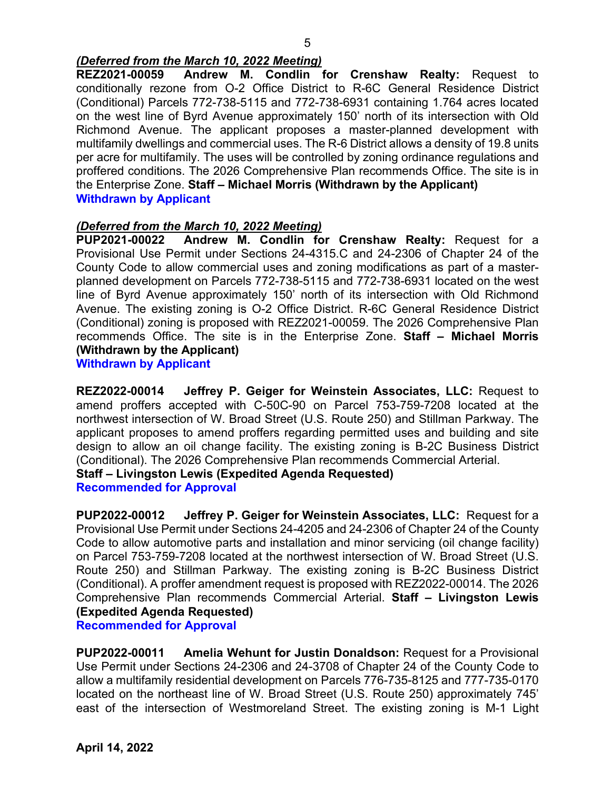# *(Deferred from the March 10, 2022 Meeting)*

**REZ2021-00059 Andrew M. Condlin for Crenshaw Realty:** Request to conditionally rezone from O-2 Office District to R-6C General Residence District (Conditional) Parcels 772-738-5115 and 772-738-6931 containing 1.764 acres located on the west line of Byrd Avenue approximately 150' north of its intersection with Old Richmond Avenue. The applicant proposes a master-planned development with multifamily dwellings and commercial uses. The R-6 District allows a density of 19.8 units per acre for multifamily. The uses will be controlled by zoning ordinance regulations and proffered conditions. The 2026 Comprehensive Plan recommends Office. The site is in the Enterprise Zone. **Staff – Michael Morris (Withdrawn by the Applicant) Withdrawn by Applicant**

## *(Deferred from the March 10, 2022 Meeting)*

**PUP2021-00022 Andrew M. Condlin for Crenshaw Realty:** Request for a Provisional Use Permit under Sections 24-4315.C and 24-2306 of Chapter 24 of the County Code to allow commercial uses and zoning modifications as part of a masterplanned development on Parcels 772-738-5115 and 772-738-6931 located on the west line of Byrd Avenue approximately 150' north of its intersection with Old Richmond Avenue. The existing zoning is O-2 Office District. R-6C General Residence District (Conditional) zoning is proposed with REZ2021-00059. The 2026 Comprehensive Plan recommends Office. The site is in the Enterprise Zone. **Staff – Michael Morris (Withdrawn by the Applicant)**

**Withdrawn by Applicant**

**REZ2022-00014 Jeffrey P. Geiger for Weinstein Associates, LLC:** Request to amend proffers accepted with C-50C-90 on Parcel 753-759-7208 located at the northwest intersection of W. Broad Street (U.S. Route 250) and Stillman Parkway. The applicant proposes to amend proffers regarding permitted uses and building and site design to allow an oil change facility. The existing zoning is B-2C Business District (Conditional). The 2026 Comprehensive Plan recommends Commercial Arterial. **Staff – Livingston Lewis (Expedited Agenda Requested)**

**Recommended for Approval**

**PUP2022-00012 Jeffrey P. Geiger for Weinstein Associates, LLC:** Request for a Provisional Use Permit under Sections 24-4205 and 24-2306 of Chapter 24 of the County Code to allow automotive parts and installation and minor servicing (oil change facility) on Parcel 753-759-7208 located at the northwest intersection of W. Broad Street (U.S. Route 250) and Stillman Parkway. The existing zoning is B-2C Business District (Conditional). A proffer amendment request is proposed with REZ2022-00014. The 2026 Comprehensive Plan recommends Commercial Arterial. **Staff – Livingston Lewis (Expedited Agenda Requested)**

**Recommended for Approval**

**PUP2022-00011 Amelia Wehunt for Justin Donaldson:** Request for a Provisional Use Permit under Sections 24-2306 and 24-3708 of Chapter 24 of the County Code to allow a multifamily residential development on Parcels 776-735-8125 and 777-735-0170 located on the northeast line of W. Broad Street (U.S. Route 250) approximately 745' east of the intersection of Westmoreland Street. The existing zoning is M-1 Light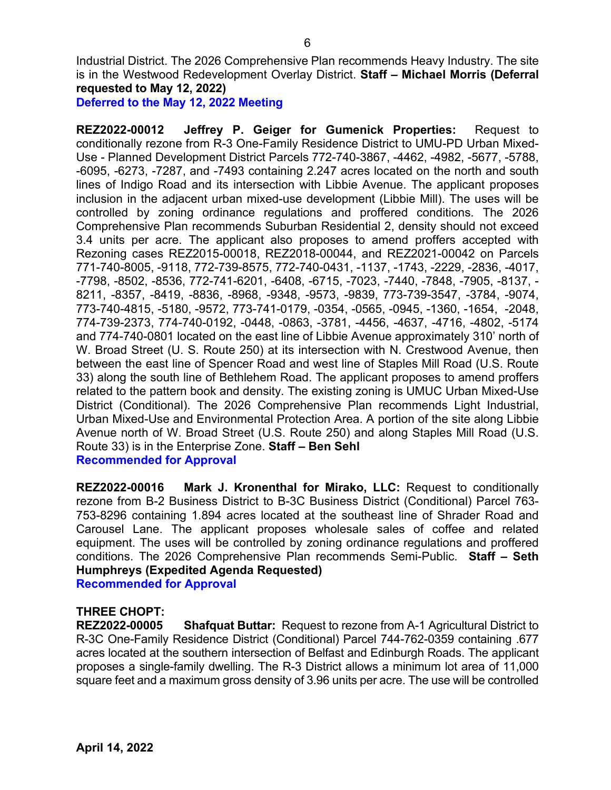Industrial District. The 2026 Comprehensive Plan recommends Heavy Industry. The site is in the Westwood Redevelopment Overlay District. **Staff – Michael Morris (Deferral requested to May 12, 2022)**

**Deferred to the May 12, 2022 Meeting**

**REZ2022-00012 Jeffrey P. Geiger for Gumenick Properties:** Request to conditionally rezone from R-3 One-Family Residence District to UMU-PD Urban Mixed-Use - Planned Development District Parcels 772-740-3867, -4462, -4982, -5677, -5788, -6095, -6273, -7287, and -7493 containing 2.247 acres located on the north and south lines of Indigo Road and its intersection with Libbie Avenue. The applicant proposes inclusion in the adjacent urban mixed-use development (Libbie Mill). The uses will be controlled by zoning ordinance regulations and proffered conditions. The 2026 Comprehensive Plan recommends Suburban Residential 2, density should not exceed 3.4 units per acre. The applicant also proposes to amend proffers accepted with Rezoning cases REZ2015-00018, REZ2018-00044, and REZ2021-00042 on Parcels 771-740-8005, -9118, 772-739-8575, 772-740-0431, -1137, -1743, -2229, -2836, -4017, -7798, -8502, -8536, 772-741-6201, -6408, -6715, -7023, -7440, -7848, -7905, -8137, - 8211, -8357, -8419, -8836, -8968, -9348, -9573, -9839, 773-739-3547, -3784, -9074, 773-740-4815, -5180, -9572, 773-741-0179, -0354, -0565, -0945, -1360, -1654, -2048, 774-739-2373, 774-740-0192, -0448, -0863, -3781, -4456, -4637, -4716, -4802, -5174 and 774-740-0801 located on the east line of Libbie Avenue approximately 310' north of W. Broad Street (U. S. Route 250) at its intersection with N. Crestwood Avenue, then between the east line of Spencer Road and west line of Staples Mill Road (U.S. Route 33) along the south line of Bethlehem Road. The applicant proposes to amend proffers related to the pattern book and density. The existing zoning is UMUC Urban Mixed-Use District (Conditional). The 2026 Comprehensive Plan recommends Light Industrial, Urban Mixed-Use and Environmental Protection Area. A portion of the site along Libbie Avenue north of W. Broad Street (U.S. Route 250) and along Staples Mill Road (U.S. Route 33) is in the Enterprise Zone. **Staff – Ben Sehl Recommended for Approval**

**REZ2022-00016 Mark J. Kronenthal for Mirako, LLC:** Request to conditionally rezone from B-2 Business District to B-3C Business District (Conditional) Parcel 763- 753-8296 containing 1.894 acres located at the southeast line of Shrader Road and Carousel Lane. The applicant proposes wholesale sales of coffee and related equipment. The uses will be controlled by zoning ordinance regulations and proffered conditions. The 2026 Comprehensive Plan recommends Semi-Public. **Staff – Seth Humphreys (Expedited Agenda Requested) Recommended for Approval**

### **THREE CHOPT:**

**REZ2022-00005 Shafquat Buttar:** Request to rezone from A-1 Agricultural District to R-3C One-Family Residence District (Conditional) Parcel 744-762-0359 containing .677 acres located at the southern intersection of Belfast and Edinburgh Roads. The applicant proposes a single-family dwelling. The R-3 District allows a minimum lot area of 11,000 square feet and a maximum gross density of 3.96 units per acre. The use will be controlled